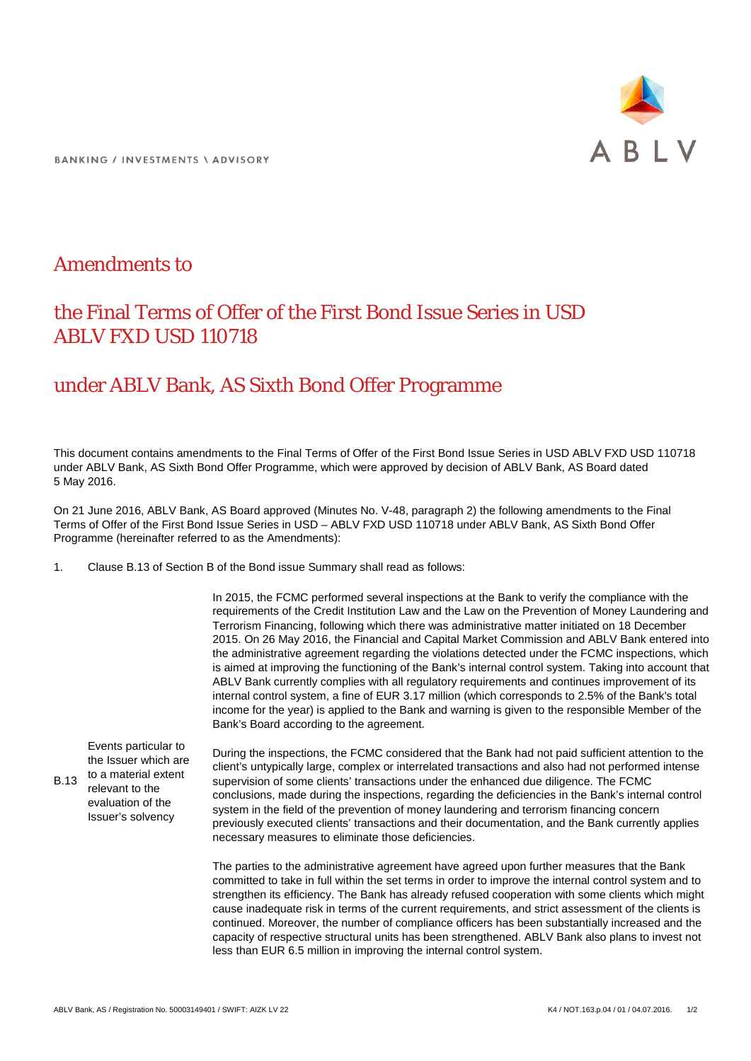

**BANKING / INVESTMENTS \ ADVISORY** 

## Amendments to

## the Final Terms of Offer of the First Bond Issue Series in USD ABLV FXD USD 110718

## under ABLV Bank, AS Sixth Bond Offer Programme

This document contains amendments to the Final Terms of Offer of the First Bond Issue Series in USD ABLV FXD USD 110718 under ABLV Bank, AS Sixth Bond Offer Programme, which were approved by decision of ABLV Bank, AS Board dated 5 May 2016.

On 21 June 2016, ABLV Bank, AS Board approved (Minutes No. V-48, paragraph 2) the following amendments to the Final Terms of Offer of the First Bond Issue Series in USD – ABLV FXD USD 110718 under ABLV Bank, AS Sixth Bond Offer Programme (hereinafter referred to as the Amendments):

1. Clause B.13 of Section B of the Bond issue Summary shall read as follows:

In 2015, the FCMC performed several inspections at the Bank to verify the compliance with the requirements of the Credit Institution Law and the Law on the Prevention of Money Laundering and Terrorism Financing, following which there was administrative matter initiated on 18 December 2015. On 26 May 2016, the Financial and Capital Market Commission and ABLV Bank entered into the administrative agreement regarding the violations detected under the FCMC inspections, which is aimed at improving the functioning of the Bank's internal control system. Taking into account that ABLV Bank currently complies with all regulatory requirements and continues improvement of its internal control system, a fine of EUR 3.17 million (which corresponds to 2.5% of the Bank's total income for the year) is applied to the Bank and warning is given to the responsible Member of the Bank's Board according to the agreement.

B.13 Events particular to the Issuer which are to a material extent relevant to the evaluation of the Issuer's solvency

During the inspections, the FCMC considered that the Bank had not paid sufficient attention to the client's untypically large, complex or interrelated transactions and also had not performed intense supervision of some clients' transactions under the enhanced due diligence. The FCMC conclusions, made during the inspections, regarding the deficiencies in the Bank's internal control system in the field of the prevention of money laundering and terrorism financing concern previously executed clients' transactions and their documentation, and the Bank currently applies necessary measures to eliminate those deficiencies.

The parties to the administrative agreement have agreed upon further measures that the Bank committed to take in full within the set terms in order to improve the internal control system and to strengthen its efficiency. The Bank has already refused cooperation with some clients which might cause inadequate risk in terms of the current requirements, and strict assessment of the clients is continued. Moreover, the number of compliance officers has been substantially increased and the capacity of respective structural units has been strengthened. ABLV Bank also plans to invest not less than EUR 6.5 million in improving the internal control system.